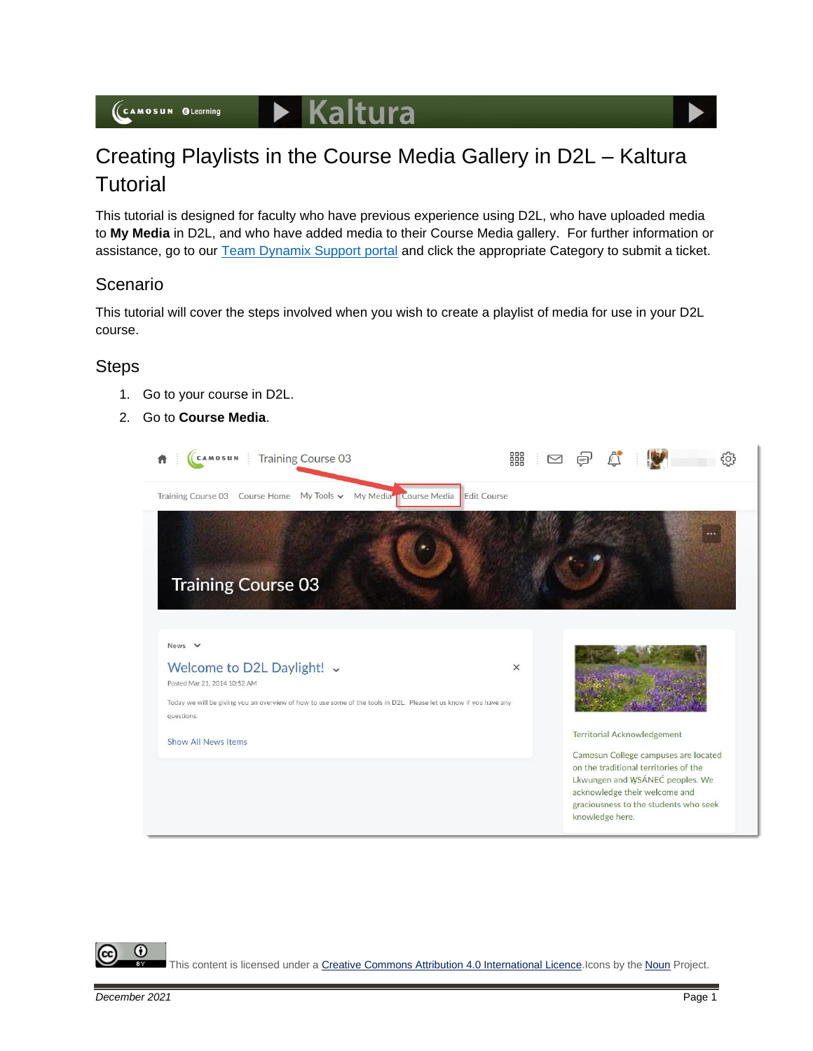$\blacktriangleright$  Kaltura



This tutorial is designed for faculty who have previous experience using D2L, who have uploaded media to **My Media** in D2L, and who have added media to their Course Media gallery. For further information or assistance, go to our [Team Dynamix Support portal](https://camosun.teamdynamix.com/TDClient/67/Portal/Requests/ServiceCatalog?CategoryID=523) and click the appropriate Category to submit a ticket.

## Scenario

This tutorial will cover the steps involved when you wish to create a playlist of media for use in your D2L course.

## **Steps**

- 1. Go to your course in D2L.
- 2. Go to **Course Media**.



This content is licensed under [a Creative Commons Attribution 4.0 International Licence.I](https://creativecommons.org/licenses/by/4.0/)cons by the [Noun](https://creativecommons.org/website-icons/) Project.

G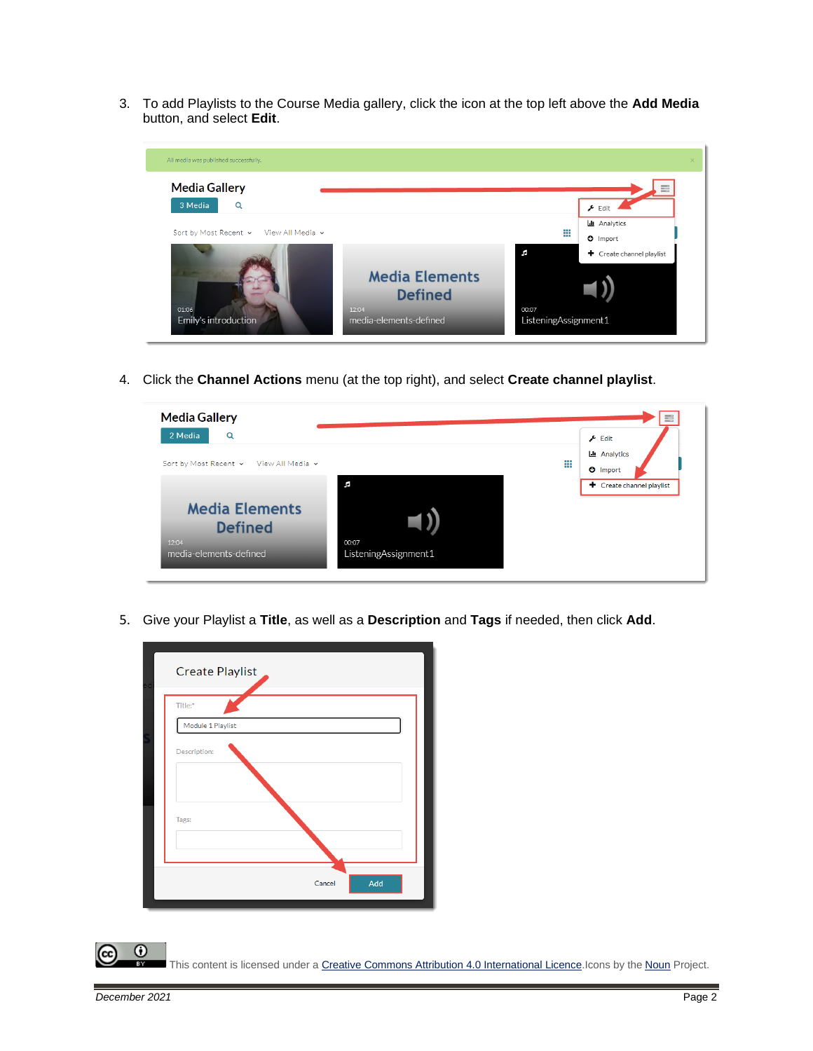3. To add Playlists to the Course Media gallery, click the icon at the top left above the **Add Media** button, and select **Edit**.



4. Click the **Channel Actions** menu (at the top right), and select **Create channel playlist**.



5. Give your Playlist a **Title**, as well as a **Description** and **Tags** if needed, then click **Add**.

| Cancel | Add |
|--------|-----|

This content is licensed under [a Creative Commons Attribution 4.0 International Licence.I](https://creativecommons.org/licenses/by/4.0/)cons by the [Noun](https://creativecommons.org/website-icons/) Project.

 $\Omega$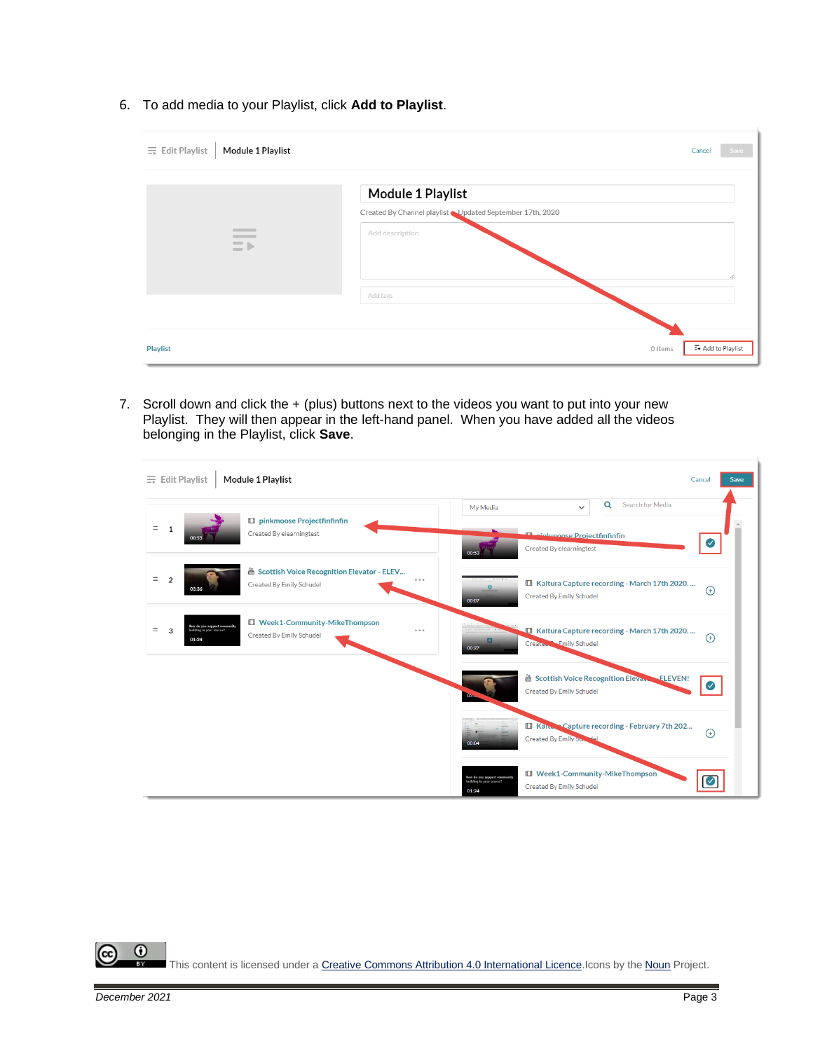6. To add media to your Playlist, click **Add to Playlist**.

| Module 1 Playlist<br>$\equiv$ Edit Playlist                            | Cancel<br>Save                                           |
|------------------------------------------------------------------------|----------------------------------------------------------|
|                                                                        | Module 1 Playlist                                        |
|                                                                        | Created By Channel playlist Updated September 17th, 2020 |
| $\overline{\phantom{a}}$<br>$\frac{1}{2}$<br>$\equiv$ $\triangleright$ | Add description                                          |
|                                                                        | Add tags                                                 |
|                                                                        |                                                          |
| <b>Playlist</b>                                                        | E+ Add to Playlist<br>0 Items                            |

7. Scroll down and click the + (plus) buttons next to the videos you want to put into your new Playlist. They will then appear in the left-hand panel. When you have added all the videos belonging in the Playlist, click **Save**.

| $\equiv$ Edit Playlist                                               | Module 1 Playlist                                                      | Cancel<br>Save                                                                                                                                        |
|----------------------------------------------------------------------|------------------------------------------------------------------------|-------------------------------------------------------------------------------------------------------------------------------------------------------|
| $\mathbf 1$<br>00:53                                                 | <b>El pinkmoose Projectfinfinfin</b><br>Created By elearningtest       | Search for Media<br>$\alpha$<br>My Media<br>$\checkmark$<br><b>The Margaret Project fin fin fin</b><br>Created By elearningtest<br>00:53              |
| $\overline{2}$<br>03:36                                              | Scottish Voice Recognition Elevator - ELEV<br>Created By Emily Schudel | $\cdots$<br>El Kaltura Capture recording - March 17th 2020,<br>$\alpha$<br>$\bigoplus$<br><b>Created By Emily Schudel</b><br>00:07                    |
| How do you support community<br>3<br>Servoy vous in pellula<br>01:24 | <b>Ell Week1-Community-MikeThompson</b><br>Created By Emily Schudel    | <b>Ell Kaltura Capture recording - March 17th 2020, </b><br>$- - -$<br>$\bigoplus$<br>$\overline{a}$<br>Created - Emily Schudel<br>00:27              |
|                                                                      |                                                                        | Scottish Voice Recognition Elevano<br><b>ELEVEN!</b><br>$(\checkmark)$<br><b>Created By Emily Schudel</b><br>$0.3 -$                                  |
|                                                                      |                                                                        | Ell Kart Capture recording - February 7th 202<br>$\bigoplus$<br><b>Created By Emily Sc</b><br>00:04                                                   |
|                                                                      |                                                                        | <b>ET Week1-Community-MikeThompson</b><br><b>How do you support community</b><br>building in your course?<br><b>Created By Emily Schudel</b><br>01:24 |